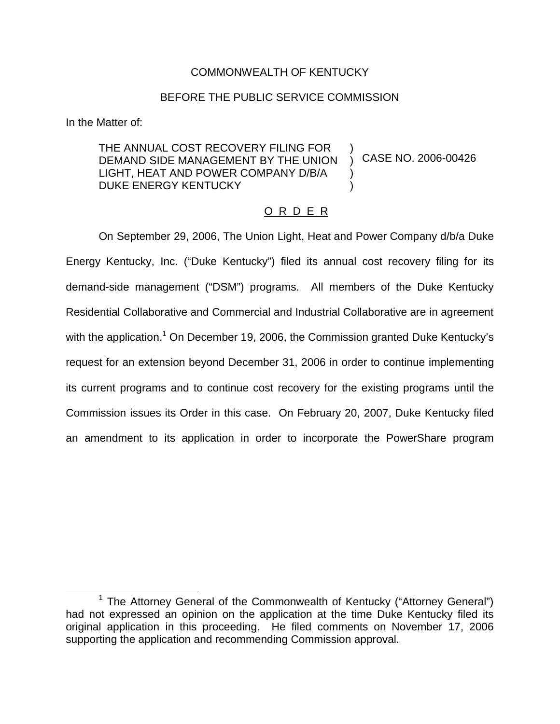# COMMONWEALTH OF KENTUCKY

# BEFORE THE PUBLIC SERVICE COMMISSION

In the Matter of:

# THE ANNUAL COST RECOVERY FILING FOR DEMAND SIDE MANAGEMENT BY THE UNION LIGHT, HEAT AND POWER COMPANY D/B/A DUKE ENERGY KENTUCKY

CASE NO. 2006-00426

# O R D E R

) ) ) )

On September 29, 2006, The Union Light, Heat and Power Company d/b/a Duke Energy Kentucky, Inc. ("Duke Kentucky") filed its annual cost recovery filing for its demand-side management ("DSM") programs. All members of the Duke Kentucky Residential Collaborative and Commercial and Industrial Collaborative are in agreement with the application.<sup>1</sup> On December 19, 2006, the Commission granted Duke Kentucky's request for an extension beyond December 31, 2006 in order to continue implementing its current programs and to continue cost recovery for the existing programs until the Commission issues its Order in this case. On February 20, 2007, Duke Kentucky filed an amendment to its application in order to incorporate the PowerShare program

<sup>&</sup>lt;sup>1</sup> The Attorney General of the Commonwealth of Kentucky ("Attorney General") had not expressed an opinion on the application at the time Duke Kentucky filed its original application in this proceeding. He filed comments on November 17, 2006 supporting the application and recommending Commission approval.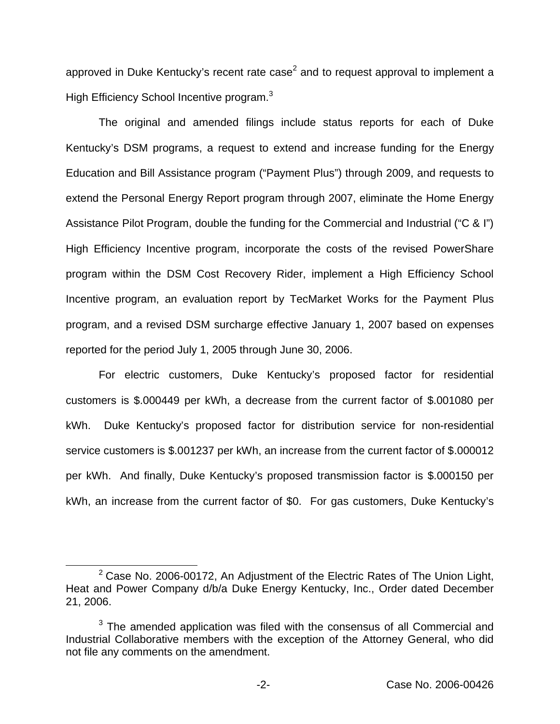approved in Duke Kentucky's recent rate case<sup>2</sup> and to request approval to implement a High Efficiency School Incentive program.<sup>3</sup>

The original and amended filings include status reports for each of Duke Kentucky's DSM programs, a request to extend and increase funding for the Energy Education and Bill Assistance program ("Payment Plus") through 2009, and requests to extend the Personal Energy Report program through 2007, eliminate the Home Energy Assistance Pilot Program, double the funding for the Commercial and Industrial ("C & I") High Efficiency Incentive program, incorporate the costs of the revised PowerShare program within the DSM Cost Recovery Rider, implement a High Efficiency School Incentive program, an evaluation report by TecMarket Works for the Payment Plus program, and a revised DSM surcharge effective January 1, 2007 based on expenses reported for the period July 1, 2005 through June 30, 2006.

For electric customers, Duke Kentucky's proposed factor for residential customers is \$.000449 per kWh, a decrease from the current factor of \$.001080 per kWh. Duke Kentucky's proposed factor for distribution service for non-residential service customers is \$.001237 per kWh, an increase from the current factor of \$.000012 per kWh. And finally, Duke Kentucky's proposed transmission factor is \$.000150 per kWh, an increase from the current factor of \$0. For gas customers, Duke Kentucky's

 $2$  Case No. 2006-00172, An Adjustment of the Electric Rates of The Union Light, Heat and Power Company d/b/a Duke Energy Kentucky, Inc., Order dated December 21, 2006.

 $3$  The amended application was filed with the consensus of all Commercial and Industrial Collaborative members with the exception of the Attorney General, who did not file any comments on the amendment.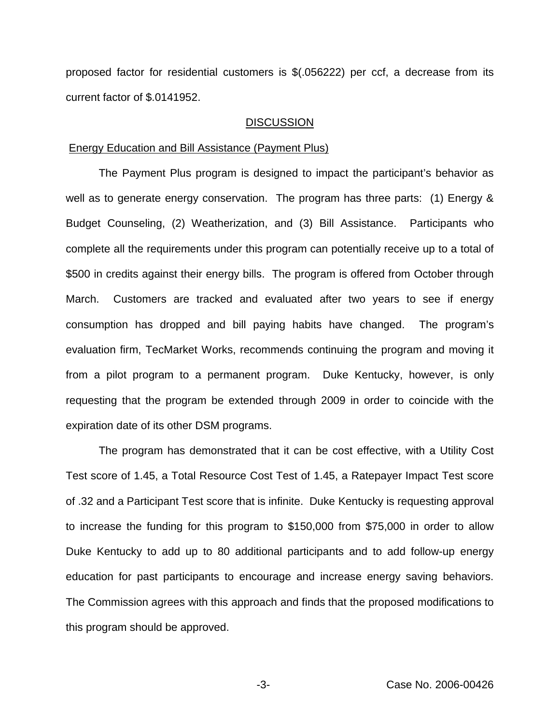proposed factor for residential customers is \$(.056222) per ccf, a decrease from its current factor of \$.0141952.

#### **DISCUSSION**

#### Energy Education and Bill Assistance (Payment Plus)

The Payment Plus program is designed to impact the participant's behavior as well as to generate energy conservation. The program has three parts: (1) Energy & Budget Counseling, (2) Weatherization, and (3) Bill Assistance. Participants who complete all the requirements under this program can potentially receive up to a total of \$500 in credits against their energy bills. The program is offered from October through March. Customers are tracked and evaluated after two years to see if energy consumption has dropped and bill paying habits have changed. The program's evaluation firm, TecMarket Works, recommends continuing the program and moving it from a pilot program to a permanent program. Duke Kentucky, however, is only requesting that the program be extended through 2009 in order to coincide with the expiration date of its other DSM programs.

The program has demonstrated that it can be cost effective, with a Utility Cost Test score of 1.45, a Total Resource Cost Test of 1.45, a Ratepayer Impact Test score of .32 and a Participant Test score that is infinite. Duke Kentucky is requesting approval to increase the funding for this program to \$150,000 from \$75,000 in order to allow Duke Kentucky to add up to 80 additional participants and to add follow-up energy education for past participants to encourage and increase energy saving behaviors. The Commission agrees with this approach and finds that the proposed modifications to this program should be approved.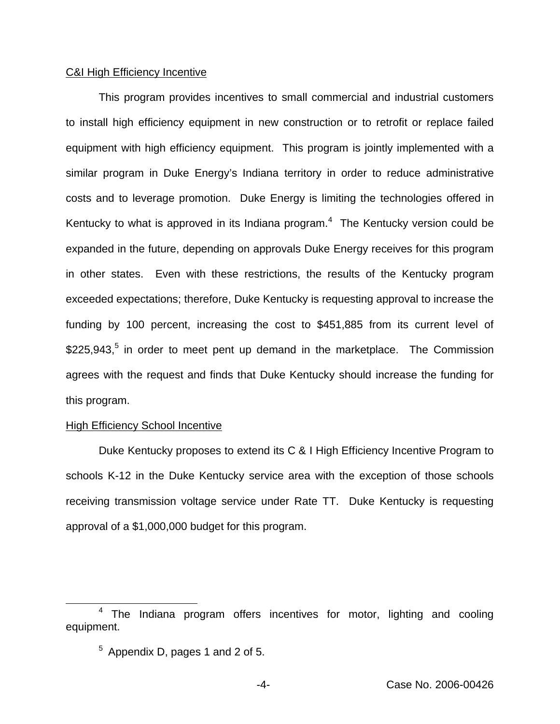### C&I High Efficiency Incentive

This program provides incentives to small commercial and industrial customers to install high efficiency equipment in new construction or to retrofit or replace failed equipment with high efficiency equipment. This program is jointly implemented with a similar program in Duke Energy's Indiana territory in order to reduce administrative costs and to leverage promotion. Duke Energy is limiting the technologies offered in Kentucky to what is approved in its Indiana program.<sup>4</sup> The Kentucky version could be expanded in the future, depending on approvals Duke Energy receives for this program in other states. Even with these restrictions, the results of the Kentucky program exceeded expectations; therefore, Duke Kentucky is requesting approval to increase the funding by 100 percent, increasing the cost to \$451,885 from its current level of  $$225,943<sup>5</sup>$  in order to meet pent up demand in the marketplace. The Commission agrees with the request and finds that Duke Kentucky should increase the funding for this program.

# **High Efficiency School Incentive**

Duke Kentucky proposes to extend its C & I High Efficiency Incentive Program to schools K-12 in the Duke Kentucky service area with the exception of those schools receiving transmission voltage service under Rate TT. Duke Kentucky is requesting approval of a \$1,000,000 budget for this program.

<sup>4</sup> The Indiana program offers incentives for motor, lighting and cooling equipment.

 $5$  Appendix D, pages 1 and 2 of 5.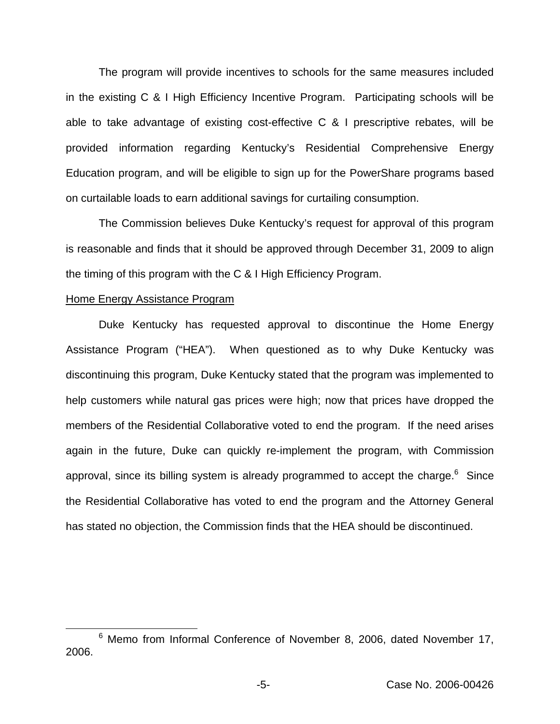The program will provide incentives to schools for the same measures included in the existing C & I High Efficiency Incentive Program. Participating schools will be able to take advantage of existing cost-effective C & I prescriptive rebates, will be provided information regarding Kentucky's Residential Comprehensive Energy Education program, and will be eligible to sign up for the PowerShare programs based on curtailable loads to earn additional savings for curtailing consumption.

The Commission believes Duke Kentucky's request for approval of this program is reasonable and finds that it should be approved through December 31, 2009 to align the timing of this program with the C & I High Efficiency Program.

#### Home Energy Assistance Program

Duke Kentucky has requested approval to discontinue the Home Energy Assistance Program ("HEA"). When questioned as to why Duke Kentucky was discontinuing this program, Duke Kentucky stated that the program was implemented to help customers while natural gas prices were high; now that prices have dropped the members of the Residential Collaborative voted to end the program. If the need arises again in the future, Duke can quickly re-implement the program, with Commission approval, since its billing system is already programmed to accept the charge. $6$  Since the Residential Collaborative has voted to end the program and the Attorney General has stated no objection, the Commission finds that the HEA should be discontinued.

<sup>&</sup>lt;sup>6</sup> Memo from Informal Conference of November 8, 2006, dated November 17, 2006.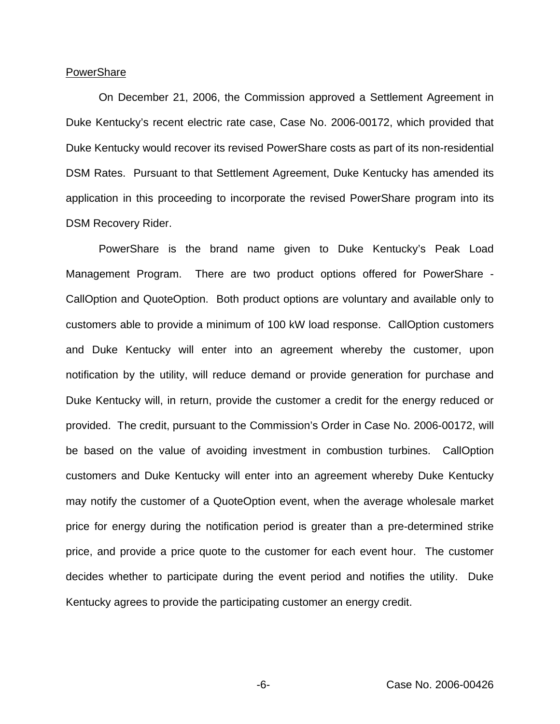#### **PowerShare**

On December 21, 2006, the Commission approved a Settlement Agreement in Duke Kentucky's recent electric rate case, Case No. 2006-00172, which provided that Duke Kentucky would recover its revised PowerShare costs as part of its non-residential DSM Rates. Pursuant to that Settlement Agreement, Duke Kentucky has amended its application in this proceeding to incorporate the revised PowerShare program into its DSM Recovery Rider.

PowerShare is the brand name given to Duke Kentucky's Peak Load Management Program. There are two product options offered for PowerShare - CallOption and QuoteOption. Both product options are voluntary and available only to customers able to provide a minimum of 100 kW load response. CallOption customers and Duke Kentucky will enter into an agreement whereby the customer, upon notification by the utility, will reduce demand or provide generation for purchase and Duke Kentucky will, in return, provide the customer a credit for the energy reduced or provided. The credit, pursuant to the Commission's Order in Case No. 2006-00172, will be based on the value of avoiding investment in combustion turbines. CallOption customers and Duke Kentucky will enter into an agreement whereby Duke Kentucky may notify the customer of a QuoteOption event, when the average wholesale market price for energy during the notification period is greater than a pre-determined strike price, and provide a price quote to the customer for each event hour. The customer decides whether to participate during the event period and notifies the utility. Duke Kentucky agrees to provide the participating customer an energy credit.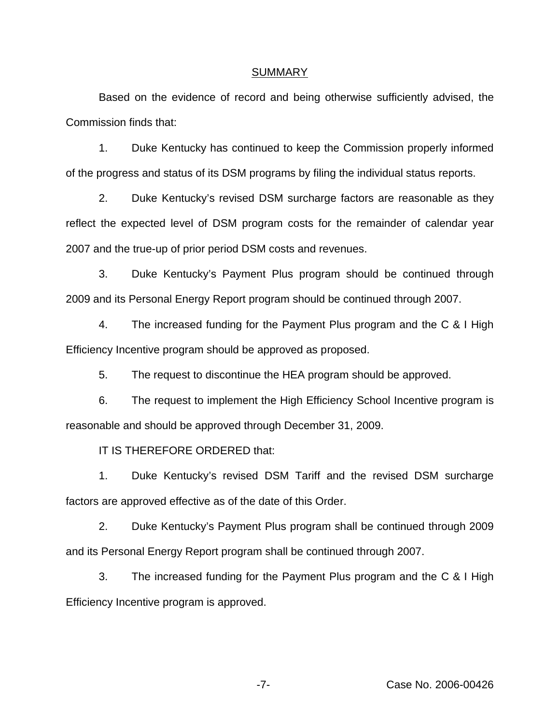#### SUMMARY

Based on the evidence of record and being otherwise sufficiently advised, the Commission finds that:

1. Duke Kentucky has continued to keep the Commission properly informed of the progress and status of its DSM programs by filing the individual status reports.

2. Duke Kentucky's revised DSM surcharge factors are reasonable as they reflect the expected level of DSM program costs for the remainder of calendar year 2007 and the true-up of prior period DSM costs and revenues.

3. Duke Kentucky's Payment Plus program should be continued through 2009 and its Personal Energy Report program should be continued through 2007.

4. The increased funding for the Payment Plus program and the C & I High Efficiency Incentive program should be approved as proposed.

5. The request to discontinue the HEA program should be approved.

6. The request to implement the High Efficiency School Incentive program is reasonable and should be approved through December 31, 2009.

IT IS THEREFORE ORDERED that:

1. Duke Kentucky's revised DSM Tariff and the revised DSM surcharge factors are approved effective as of the date of this Order.

2. Duke Kentucky's Payment Plus program shall be continued through 2009 and its Personal Energy Report program shall be continued through 2007.

3. The increased funding for the Payment Plus program and the C & I High Efficiency Incentive program is approved.

-7- Case No. 2006-00426